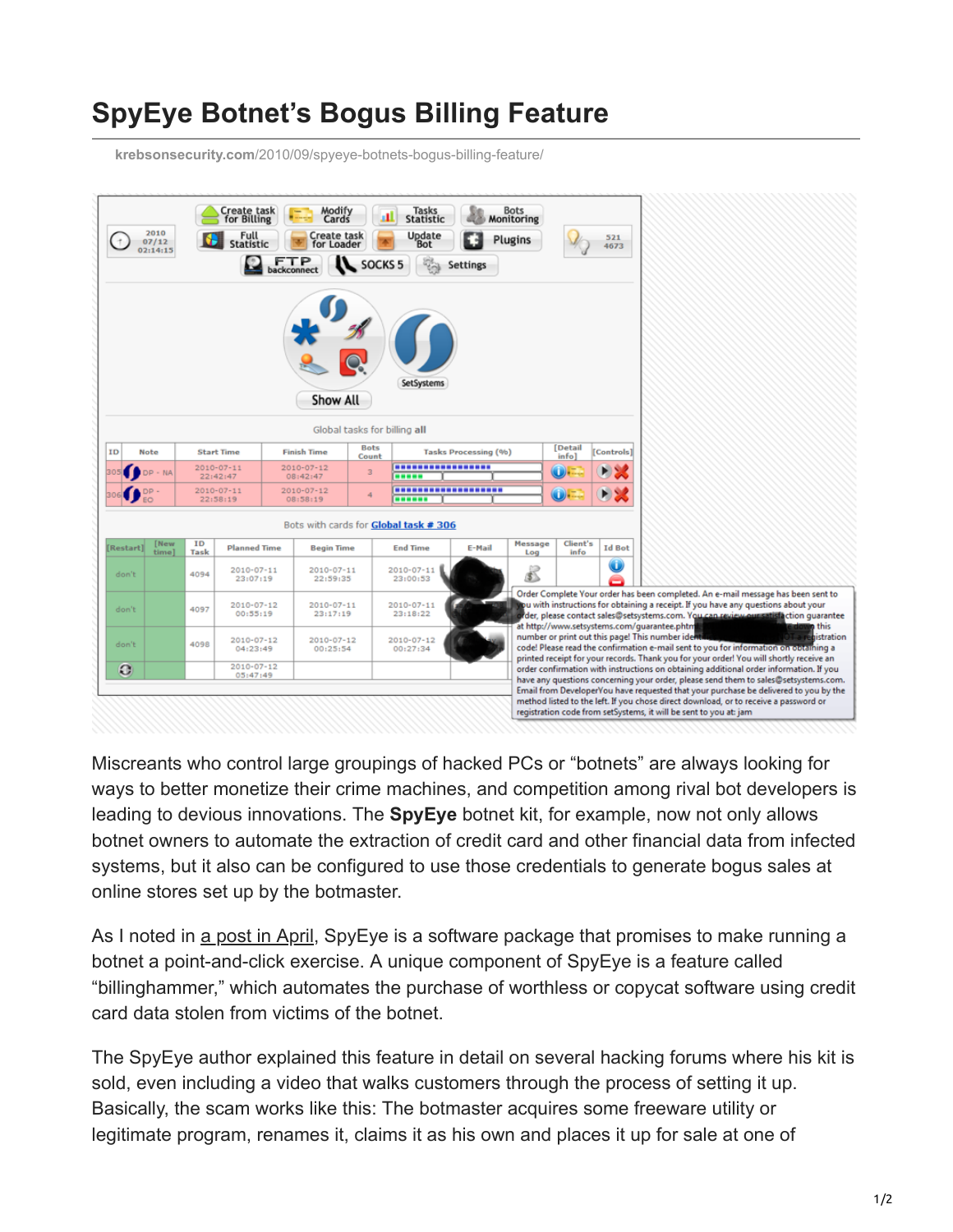## **SpyEye Botnet's Bogus Billing Feature**

**krebsonsecurity.com**[/2010/09/spyeye-botnets-bogus-billing-feature/](https://krebsonsecurity.com/2010/09/spyeye-botnets-bogus-billing-feature/)



Miscreants who control large groupings of hacked PCs or "botnets" are always looking for ways to better monetize their crime machines, and competition among rival bot developers is leading to devious innovations. The **SpyEye** botnet kit, for example, now not only allows botnet owners to automate the extraction of credit card and other financial data from infected systems, but it also can be configured to use those credentials to generate bogus sales at online stores set up by the botmaster.

As I noted in [a post in April,](http://krebsonsecurity.com/2010/04/spyeye-vs-zeus-rivalry/) SpyEye is a software package that promises to make running a botnet a point-and-click exercise. A unique component of SpyEye is a feature called "billinghammer," which automates the purchase of worthless or copycat software using credit card data stolen from victims of the botnet.

The SpyEye author explained this feature in detail on several hacking forums where his kit is sold, even including a video that walks customers through the process of setting it up. Basically, the scam works like this: The botmaster acquires some freeware utility or legitimate program, renames it, claims it as his own and places it up for sale at one of